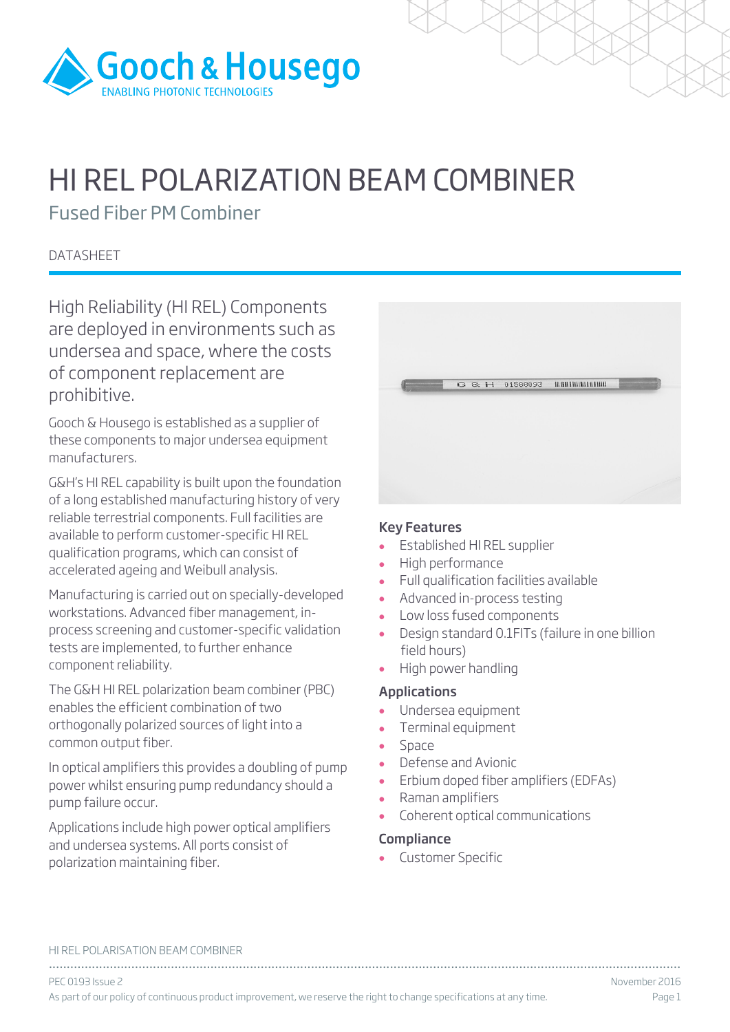

# HI REL POLARIZATION BEAM COMBINER

Fused Fiber PM Combiner

**DATASHEET** 

High Reliability (HI REL) Components are deployed in environments such as undersea and space, where the costs of component replacement are prohibitive.

Gooch & Housego is established as a supplier of these components to major undersea equipment manufacturers.

G&H's HI REL capability is built upon the foundation of a long established manufacturing history of very reliable terrestrial components. Full facilities are available to perform customer-specific HI REL qualification programs, which can consist of accelerated ageing and Weibull analysis.

Manufacturing is carried out on specially-developed workstations. Advanced fiber management, inprocess screening and customer-specific validation tests are implemented, to further enhance component reliability.

The G&H HI REL polarization beam combiner (PBC) enables the efficient combination of two orthogonally polarized sources of light into a common output fiber.

In optical amplifiers this provides a doubling of pump power whilst ensuring pump redundancy should a pump failure occur.

Applications include high power optical amplifiers and undersea systems. All ports consist of polarization maintaining fiber.

|  |  | $G \otimes H$ 01588093 HHHHHHHHH |  |
|--|--|----------------------------------|--|
|  |  |                                  |  |
|  |  |                                  |  |

#### Key Features

- Established HI REL supplier
- High performance
- Full qualification facilities available
- Advanced in-process testing
- Low loss fused components
- Design standard 0.1FITs (failure in one billion field hours)
- High power handling

### Applications

- Undersea equipment
- Terminal equipment
- Space
- Defense and Avionic
- Erbium doped fiber amplifiers (EDFAs)
- Raman amplifiers
- Coherent optical communications

### Compliance

• Customer Specific

|  |  | HI REL POLARISATION BEAM COMBINER |  |
|--|--|-----------------------------------|--|
|--|--|-----------------------------------|--|

................................................................................................................................................................................ PEC 0193 Issue 2 November 2016 As part of our policy of continuous product improvement, we reserve the right to change specifications at any time. Page 1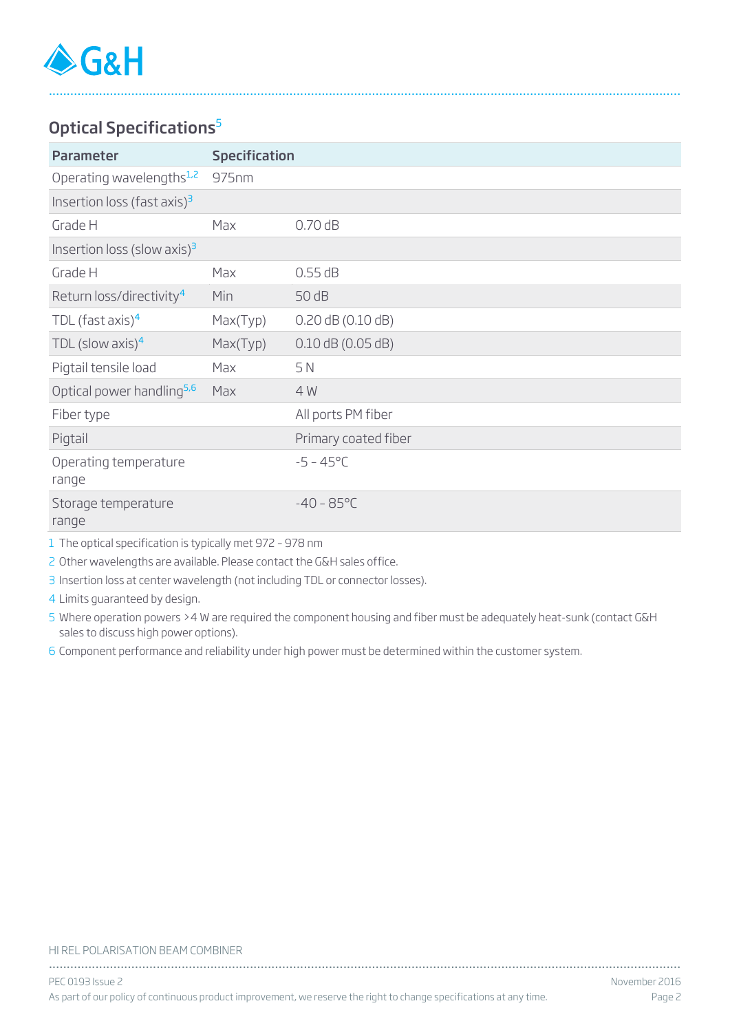### Optical Specifications<sup>5</sup>

| <b>Specification</b><br><b>Parameter</b> |          |                       |
|------------------------------------------|----------|-----------------------|
| Operating wavelengths <sup>1,2</sup>     | 975nm    |                       |
| Insertion loss (fast axis) $^3$          |          |                       |
| Grade H                                  | Max      | 0.70dB                |
| Insertion loss (slow axis) $3$           |          |                       |
| Grade H                                  | Max      | 0.55 dB               |
| Return loss/directivity <sup>4</sup>     | Min      | 50 dB                 |
| TDL (fast axis) $4$                      | Max(Typ) | $0.20$ dB $(0.10$ dB) |
| TDL (slow axis) $4$                      | Max(Typ) | $0.10$ dB (0.05 dB)   |
| Pigtail tensile load                     | Max      | 5 N                   |
| Optical power handling <sup>5,6</sup>    | Max      | 4 W                   |
| Fiber type                               |          | All ports PM fiber    |
| Pigtail                                  |          | Primary coated fiber  |
| Operating temperature<br>range           |          | $-5 - 45^{\circ}C$    |
| Storage temperature<br>range             |          | $-40 - 85^{\circ}C$   |

................................................................................................................................................................................

1 The optical specification is typically met 972 – 978 nm

2 Other wavelengths are available. Please contact the G&H sales office.

3 Insertion loss at center wavelength (not including TDL or connector losses).

4 Limits guaranteed by design.

5 Where operation powers >4 W are required the component housing and fiber must be adequately heat-sunk (contact G&H sales to discuss high power options).

6 Component performance and reliability under high power must be determined within the customer system.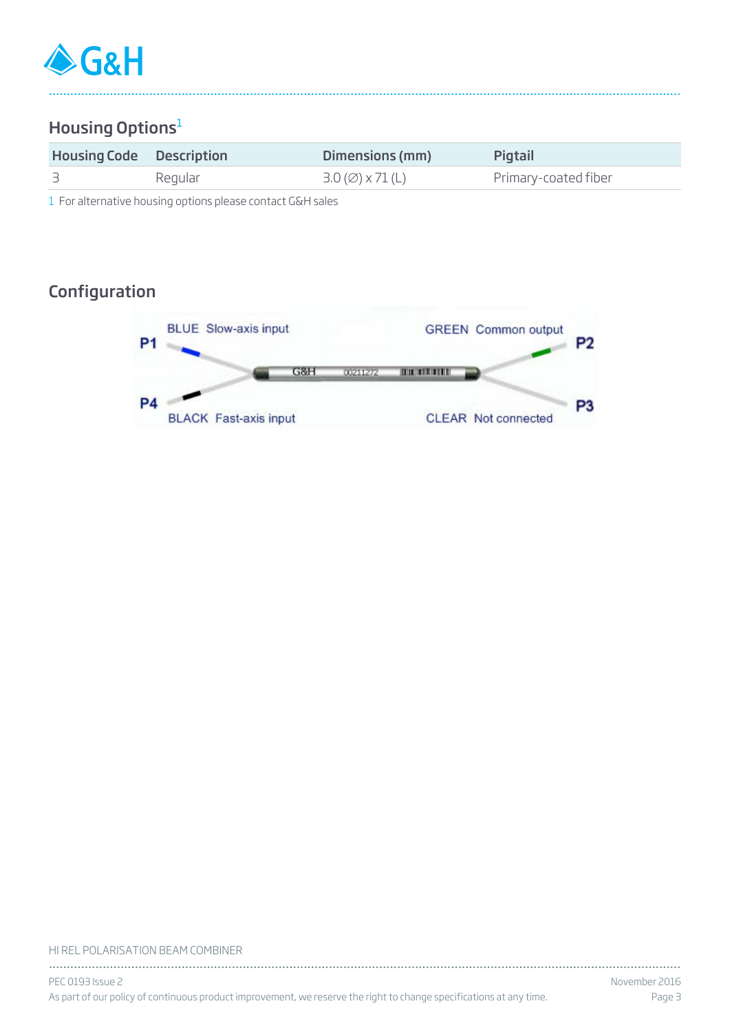

# Housing Options<sup>1</sup>

| <b>Housing Code</b> Description |         | Dimensions (mm)                                | Pigtail              |  |  |
|---------------------------------|---------|------------------------------------------------|----------------------|--|--|
|                                 | Regular | $3.0 \, (\emptyset) \times 71 \, (\mathsf{L})$ | Primary-coated fiber |  |  |

................................................................................................................................................................................

1 For alternative housing options please contact G&H sales

# Configuration



#### HI REL POLARISATION BEAM COMBINER